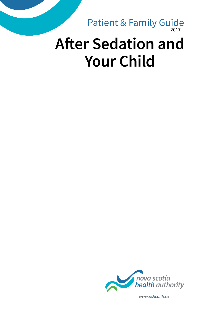2017 Patient & Family Guide

# **After Sedation and Your Child**



*www.nshealth.ca*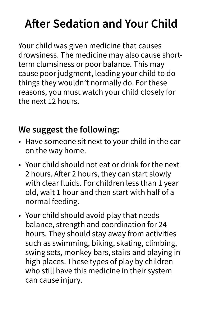## **After Sedation and Your Child**

Your child was given medicine that causes drowsiness. The medicine may also cause shortterm clumsiness or poor balance. This may cause poor judgment, leading your child to do things they wouldn't normally do. For these reasons, you must watch your child closely for the next 12 hours.

### **We suggest the following:**

- Have someone sit next to your child in the car on the way home.
- Your child should not eat or drink for the next 2 hours. After 2 hours, they can start slowly with clear fluids. For children less than 1 year old, wait 1 hour and then start with half of a normal feeding.
- Your child should avoid play that needs balance, strength and coordination for 24 hours. They should stay away from activities such as swimming, biking, skating, climbing, swing sets, monkey bars, stairs and playing in high places. These types of play by children who still have this medicine in their system can cause injury.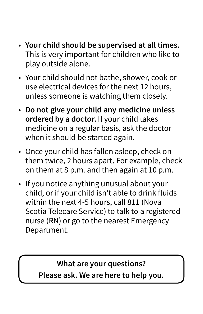- • **Your child should be supervised at all times.**  This is very important for children who like to play outside alone.
- Your child should not bathe, shower, cook or use electrical devices for the next 12 hours, unless someone is watching them closely.
- • **Do not give your child any medicine unless ordered by a doctor.** If your child takes medicine on a regular basis, ask the doctor when it should be started again.
- Once your child has fallen asleep, check on them twice, 2 hours apart. For example, check on them at 8 p.m. and then again at 10 p.m.
- If you notice anything unusual about your child, or if your child isn't able to drink fluids within the next 4-5 hours, call 811 (Nova Scotia Telecare Service) to talk to a registered nurse (RN) or go to the nearest Emergency Department.

#### **What are your questions? Please ask. We are here to help you.**